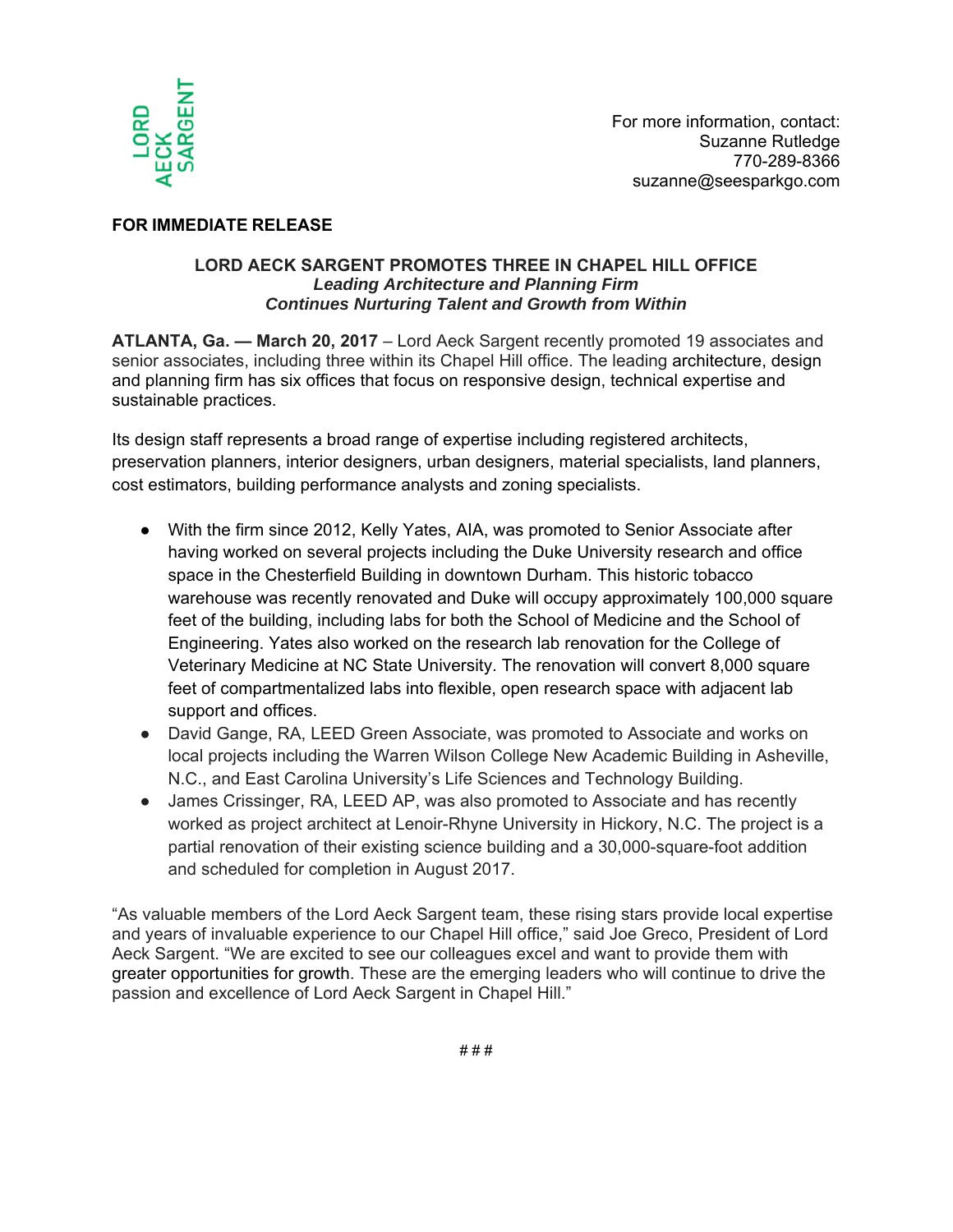

## **FOR IMMEDIATE RELEASE**

## **LORD AECK SARGENT PROMOTES THREE IN CHAPEL HILL OFFICE**  *Leading Architecture and Planning Firm Continues Nurturing Talent and Growth from Within*

**ATLANTA, Ga. — March 20, 2017** – Lord Aeck Sargent recently promoted 19 associates and senior associates, including three within its Chapel Hill office. The leading architecture, design and planning firm has six offices that focus on responsive design, technical expertise and sustainable practices.

Its design staff represents a broad range of expertise including registered architects, preservation planners, interior designers, urban designers, material specialists, land planners, cost estimators, building performance analysts and zoning specialists.

- With the firm since 2012, Kelly Yates, AIA, was promoted to Senior Associate after having worked on several projects including the Duke University research and office space in the Chesterfield Building in downtown Durham. This historic tobacco warehouse was recently renovated and Duke will occupy approximately 100,000 square feet of the building, including labs for both the School of Medicine and the School of Engineering. Yates also worked on the research lab renovation for the College of Veterinary Medicine at NC State University. The renovation will convert 8,000 square feet of compartmentalized labs into flexible, open research space with adjacent lab support and offices.
- David Gange, RA, LEED Green Associate, was promoted to Associate and works on local projects including the Warren Wilson College New Academic Building in Asheville, N.C., and East Carolina University's Life Sciences and Technology Building.
- James Crissinger, RA, LEED AP, was also promoted to Associate and has recently worked as project architect at Lenoir-Rhyne University in Hickory, N.C. The project is a partial renovation of their existing science building and a 30,000-square-foot addition and scheduled for completion in August 2017.

"As valuable members of the Lord Aeck Sargent team, these rising stars provide local expertise and years of invaluable experience to our Chapel Hill office," said Joe Greco, President of Lord Aeck Sargent. "We are excited to see our colleagues excel and want to provide them with greater opportunities for growth. These are the emerging leaders who will continue to drive the passion and excellence of Lord Aeck Sargent in Chapel Hill."